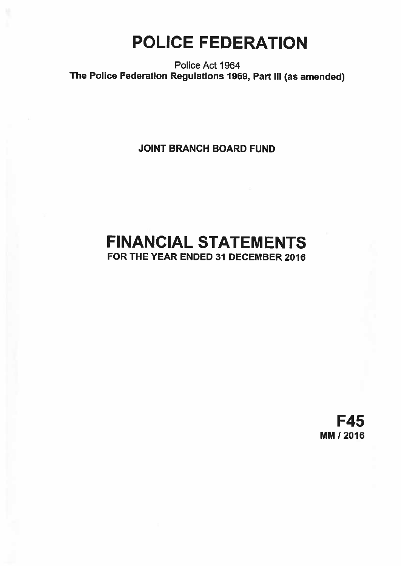# POLICE FEDERATION

Police Act 1964 The Police Federation Regulations 1969, Part III (as amended)

JOINT BRANCH BOARD FUND

# FINANCIAL STATEMENTS FOR THE YEAR ENDED 31 DECEMBER 2016

F45 MM 12016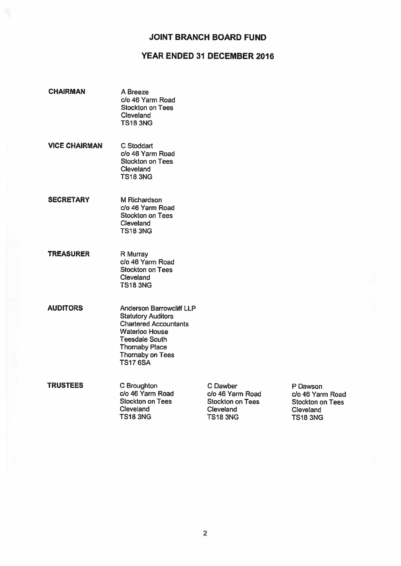# YEAR ENDED 31 DECEMBER 2016

- CHAIRMAN A Breeze c/o 46 Yarm Road Stockton on Tees **Cleveland** TS18 3NG
- VICE CHAIRMAN C Stoddart c/o 46 Yarm Road Stockton on Tees Cleveland TS18 3NG
- SECRETARY M Richardson c/o 46 Yarm Road Stockton on Tees **Cleveland** TS18 3NG
- TREASURER R Murray do 46 Yarm Road Stockton on Tees **Cleveland** TSI8 3NG
- AUDITORS Anderson Barrowcliff LLP **Statutory Auditors** Chartered Accountants Waterloo House Teesdale South Thornaby Place Thornaby on Tees TS17 6SA
- TRUSTEES C Broughton C Dawber C Dawber P Dawson<br>Co 46 Yarm Road Co 46 Yarm Road Co 46 Yarm Road Co 46 Yarm Road c/o 46 Yarm Road c/o 46 Yarm Road<br>Stockton on Tees Stockton on Tees Stockton on Tees Stockton on Tees Stockton on Tees<br>Cleveland Cleveland Cleveland Cleveland Cleveland Cleveland Cleveland Cleveland Cleveland Cleveland Cleveland Cleveland Cleveland Cleveland Cleveland C TS183NG TS183NG TS183NG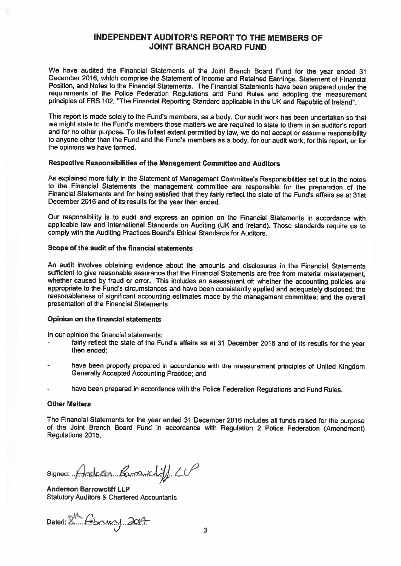## INDEPENDENT AUDITOR'S REPORT TO THE MEMBERS OF JOINT BRANCH BOARD FUND

We have audited the Financial Statements of the Joint Branch Board Fund for the year ended <sup>31</sup> December 2016, which comprise the Statement of Income and Retained Earnings, Statement of Financial Position, and Notes to the Financial Statements. The Financial Statements have been prepared under the requirements of the Police Federation Regulations and Fund Rules and adopting the measurement principles of FRS 102, "The Financial Reporting Standard applicable in the UK and Republic of Ireland".

This report is made solely to the Fund's members, as a body. Our audit work has been undertaken so that we might state to the Fund's members those matters we are required to state to them in an auditor's report and for no other purpose. To the fullest extent permitted by law, we do not accept or assume responsibility to anyone other than the Fund and the Fund's members as <sup>a</sup> body, for our audit work, for this report, or for the opinions we have formed.

#### Respective Responsibilities of the Management Committee and Auditors

As explained more fully in the Statement of Management Committee's Responsibilities set out in the notes<br>to the Financial Statements the management committee are responsible for the preparation of the Financial Statements and for being satisfied that they fairly reflect the state of the Fund's affairs as at 31st December 2016 and of its results for the year then ended.

Our responsibility is to audit and express an opinion on the Financial Statements in accordance with applicable law and International Standards on Auditing (UK and Ireland). Those standards require us to comply with the Auditing Practices Board's Ethical Standards for Auditors.

#### Scope of the audit of the financial statements

An audit involves obtaining evidence about the amounts and disclosures in the Financial Statements sufficient to <sup>g</sup>ive reasonable assurance that the Financial Statements are free from material misstatement, whether caused by fraud or error. This includes an assessment of: whether the accounting policies are appropriate to the Fund's circumstances and have been consistently applied and adequately disclosed; the reasonableness presentation of the Financial Statements.

#### Opinion on the financial statements

In our opinion the financial statements:

- fairly reflect the state of the Fund's affairs as at <sup>31</sup> December <sup>2016</sup> and of its results for the year then ended;
- have been properly prepared in accordance with the measurement principles of United Kingdom Generally Accepted Accounting Practice; and
- have been prepared in accordance with the Police Federation Regulations and Fund Rules.

#### Other Matters

The Financial Statements for the year ended <sup>31</sup> December <sup>2016</sup> includes all funds raised for the purpose of the Joint Branch Board Fund in accordance with Regulation <sup>2</sup> Police Federation (Amendment) Regulations 2015.

 $Signed: Andoson.$   $Genedld}/C$ 

Anderson Barrowcliff LLP Statutory Auditors & Chartered Accountants

Dated: 8th February 2017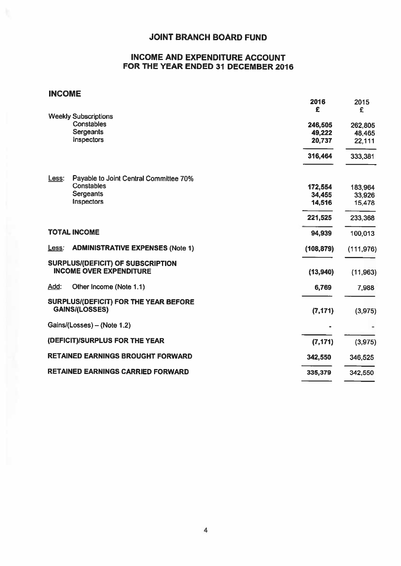# INCOME AND EXPENDITURE ACCOUNT FOR THE YEAR ENDED 31 DECEMBER 2016

# INCOME

|                     |                                                                            | 2016       | 2015       |
|---------------------|----------------------------------------------------------------------------|------------|------------|
|                     |                                                                            | £          | £          |
|                     | <b>Weekly Subscriptions</b><br>Constables                                  |            |            |
|                     | Sergeants                                                                  | 246,505    | 262,805    |
|                     | Inspectors                                                                 | 49,222     | 48,465     |
|                     |                                                                            | 20,737     | 22,111     |
|                     |                                                                            | 316,464    | 333,381    |
| Less:               | Payable to Joint Central Committee 70%                                     |            |            |
|                     | <b>Constables</b>                                                          | 172,554    | 183,964    |
|                     | Sergeants                                                                  | 34,455     | 33,926     |
|                     | Inspectors                                                                 | 14,516     | 15,478     |
|                     |                                                                            | 221,525    | 233,368    |
| <b>TOTAL INCOME</b> |                                                                            | 94,939     | 100,013    |
| Less:               | <b>ADMINISTRATIVE EXPENSES (Note 1)</b>                                    | (108, 879) | (111, 976) |
|                     | <b>SURPLUS/(DEFICIT) OF SUBSCRIPTION</b><br><b>INCOME OVER EXPENDITURE</b> | (13,940)   | (11, 963)  |
| Add:                | Other Income (Note 1.1)                                                    | 6,769      | 7,988      |
|                     | SURPLUS/(DEFICIT) FOR THE YEAR BEFORE<br><b>GAINS/(LOSSES)</b>             | (7, 171)   | (3, 975)   |
|                     | Gains/(Losses) - (Note 1.2)                                                |            |            |
|                     | (DEFICIT)/SURPLUS FOR THE YEAR                                             | (7, 171)   | (3, 975)   |
|                     | <b>RETAINED EARNINGS BROUGHT FORWARD</b>                                   | 342,550    | 346,525    |
|                     | <b>RETAINED EARNINGS CARRIED FORWARD</b>                                   | 335,379    | 342,550    |
|                     |                                                                            |            |            |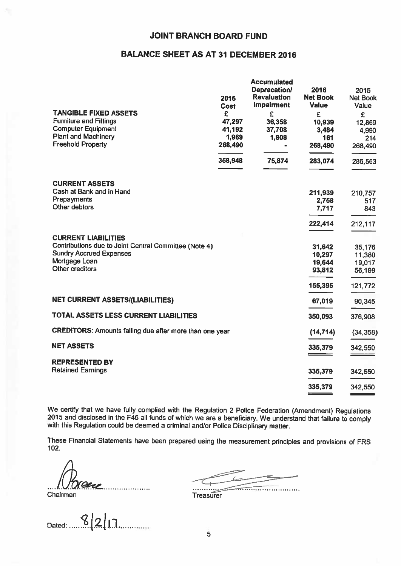# BALANCE SHEET AS AT 31 DECEMBER 2016

| <b>TANGIBLE FIXED ASSETS</b><br><b>Furniture and Fittings</b><br><b>Computer Equipment</b> | 2016<br><b>Cost</b><br>£<br>47,297<br>41,192 | <b>Accumulated</b><br>Deprecation/<br><b>Revaluation</b><br><b>Impairment</b><br>£<br>36,358<br>37,708 | 2016<br><b>Net Book</b><br>Value<br>£<br>10,939<br>3,484 | 2015<br><b>Net Book</b><br>Value<br>£<br>12,869<br>4,990 |
|--------------------------------------------------------------------------------------------|----------------------------------------------|--------------------------------------------------------------------------------------------------------|----------------------------------------------------------|----------------------------------------------------------|
| <b>Plant and Machinery</b><br><b>Freehold Property</b>                                     | 1,969<br>268,490                             | 1,808                                                                                                  | 161                                                      | 214                                                      |
|                                                                                            |                                              |                                                                                                        | 268,490                                                  | 268,490                                                  |
|                                                                                            | 358,948                                      | 75,874                                                                                                 | 283,074                                                  | 286,563                                                  |
| <b>CURRENT ASSETS</b>                                                                      |                                              |                                                                                                        |                                                          |                                                          |
| Cash at Bank and in Hand<br>Prepayments                                                    |                                              |                                                                                                        | 211,939                                                  | 210,757                                                  |
| Other debtors                                                                              |                                              |                                                                                                        | 2,758<br>7,717                                           | 517<br>843                                               |
|                                                                                            |                                              |                                                                                                        |                                                          |                                                          |
|                                                                                            |                                              |                                                                                                        | 222,414                                                  | 212,117                                                  |
| <b>CURRENT LIABILITIES</b><br>Contributions due to Joint Central Committee (Note 4)        |                                              |                                                                                                        | 31,642                                                   | 35,176                                                   |
| <b>Sundry Accrued Expenses</b>                                                             |                                              |                                                                                                        | 10,297                                                   | 11,380                                                   |
| Mortgage Loan                                                                              |                                              |                                                                                                        | 19,644                                                   | 19,017                                                   |
| Other creditors                                                                            |                                              |                                                                                                        | 93,812                                                   | 56,199                                                   |
|                                                                                            |                                              |                                                                                                        | 155,395                                                  | 121,772                                                  |
| <b>NET CURRENT ASSETS/(LIABILITIES)</b>                                                    |                                              |                                                                                                        | 67,019                                                   | 90,345                                                   |
| TOTAL ASSETS LESS CURRENT LIABILITIES                                                      |                                              |                                                                                                        | 350,093                                                  | 376,908                                                  |
| CREDITORS: Amounts falling due after more than one year                                    |                                              |                                                                                                        | (14, 714)                                                | (34, 358)                                                |
| <b>NET ASSETS</b>                                                                          |                                              |                                                                                                        | 335,379                                                  | 342,550                                                  |
| <b>REPRESENTED BY</b>                                                                      |                                              |                                                                                                        |                                                          |                                                          |
| <b>Retained Earnings</b>                                                                   |                                              |                                                                                                        | 335,379                                                  | 342,550                                                  |
|                                                                                            |                                              |                                                                                                        | 335,379                                                  | 342,550                                                  |
|                                                                                            |                                              |                                                                                                        | <u>income and the contract</u>                           |                                                          |

We certify that we have fully complied with the Regulation 2 Police Federation (Amendment) Regulations 2015 and disclosed in the F45 all funds of which we are a beneficiary. We understand that failure to comply with this R

These Financial Statements have been prepared using the measurement principles and provisions of FRS 102.

.. Chairman Treasurer

Datet LZ1!].

a va va valgung S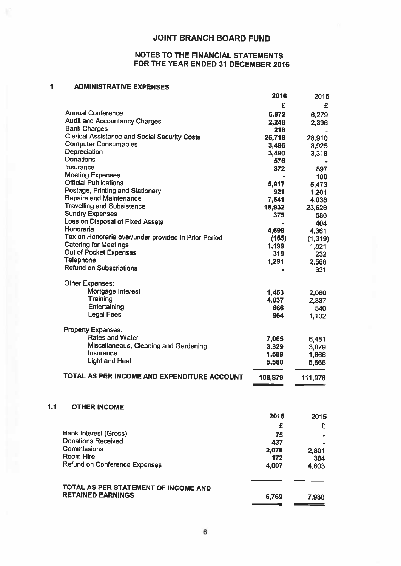# NOTES TO THE FINANCIAL STATEMENTS FOR THE YEAR ENDED 31 DECEMBER 2016

#### $\overline{\mathbf{1}}$ ADMINISTRATIVE EXPENSES

 $1.1$ 

|                                                      | 2016         | 2015    |
|------------------------------------------------------|--------------|---------|
|                                                      | £            | £       |
| <b>Annual Conference</b>                             | 6,972        | 6,279   |
| <b>Audit and Accountancy Charges</b>                 | 2,248        | 2,396   |
| <b>Bank Charges</b>                                  | 218          |         |
| <b>Clerical Assistance and Social Security Costs</b> | 25,716       | 28,910  |
| <b>Computer Consumables</b>                          | 3,496        | 3,925   |
| Depreciation                                         | 3,490        | 3,318   |
| Donations                                            | 576          |         |
| Insurance                                            | 372          | 897     |
| <b>Meeting Expenses</b>                              |              | 100     |
| <b>Official Publications</b>                         | 5,917        | 5,473   |
| Postage, Printing and Stationery                     | 921          | 1,201   |
| <b>Repairs and Maintenance</b>                       | 7,641        | 4,038   |
| <b>Travelling and Subsistence</b>                    | 18,932       | 23,626  |
| <b>Sundry Expenses</b>                               | 375          | 586     |
| Loss on Disposal of Fixed Assets                     |              | 404     |
| Honoraria                                            | 4,698        | 4,361   |
| Tax on Honoraria over/under provided in Prior Period | (165)        | (1,319) |
| <b>Catering for Meetings</b>                         | 1,199        | 1,821   |
| Out of Pocket Expenses                               | 319          | 232     |
| <b>Telephone</b>                                     | 1,291        | 2,566   |
| <b>Refund on Subscriptions</b>                       |              | 331     |
| Other Expenses:                                      |              |         |
| Mortgage Interest                                    | 1,453        | 2,060   |
| Training                                             | 4,037        | 2,337   |
| Entertaining                                         | 666          | 540     |
| <b>Legal Fees</b>                                    | 964          | 1,102   |
| <b>Property Expenses:</b>                            |              |         |
| <b>Rates and Water</b>                               | 7,065        | 6,481   |
| Miscellaneous, Cleaning and Gardening                | 3,329        | 3,079   |
| Insurance                                            | 1,589        | 1,666   |
| <b>Light and Heat</b>                                | 5,560        | 5,566   |
| TOTAL AS PER INCOME AND EXPENDITURE ACCOUNT          | 108,879      | 111,976 |
|                                                      |              |         |
| <b>OTHER INCOME</b>                                  |              |         |
|                                                      | 2016         | 2015    |
|                                                      | £            | £       |
| Bank Interest (Gross)                                |              |         |
| <b>Donations Received</b>                            | 75           |         |
| <b>Commissions</b>                                   | 437          |         |
| <b>Room Hire</b>                                     | 2,078<br>172 | 2,801   |
| Refund on Conference Expenses                        | 4,007        | 384     |
|                                                      |              | 4,803   |
| TOTAL AS PER STATEMENT OF INCOME AND                 |              |         |
| <b>RETAINED EARNINGS</b>                             | 6,769        | 7,988   |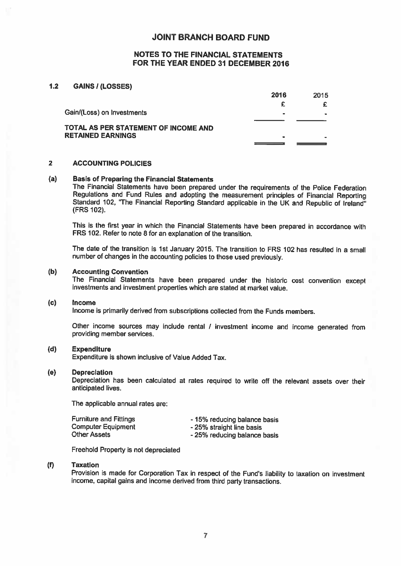#### NOTES TO THE FINANCIAL STATEMENTS FOR THE YEAR ENDED 31 DECEMBER 2016

#### 1.2 GAINS / (LOSSES)

|                                                           | 2016           | 2015 |
|-----------------------------------------------------------|----------------|------|
|                                                           |                |      |
| Gain/(Loss) on Investments                                |                | -    |
| TOTAL AS PER STATEMENT OF INCOME AND<br>RETAINED EARNINGS | $\blacksquare$ |      |
|                                                           |                |      |

#### 2 ACCOUNTING POLICIES

#### (a) Basis of Preparing the Financial Statements

The Financial Statements have been prepared under the requirements of the Police Federation<br>Regulations and Fund Rules and adopting the measurement principles of Financial Reporting Standard 102, "The Financial Reporting Standard applicable in the UK and Republic of Ireland<sup>ir</sup> (FRS 102).

This is the first year in which the Financial Statements have been prepared in accordance with FRS 102. Refer to note 8 for an explanation of the transition.

The date of the transition is 1st January 2015. The transition to FRS <sup>102</sup> has resulted in <sup>a</sup> small number of changes in the accounting policies to those used previously.

#### (b) Accounting Convention

The Financial Statements have been prepared under the historic cost convention except investments and investment properties which are stated at market value.

#### (c) Income

Income is primarily derived from subscriptions collected from the Funds members.

Other income sources may include rental / investment income and income generated from providing member services.

#### (d) Expenditure

Expenditure is shown inclusive of Value Added Tax.

#### (e) Depreciation

Depreciation has been calculated at rates required to write off the relevant assets over their anticipated lives.

The applicable annual rates are:

| <b>Furniture and Fittings</b> | - 15% reducing balance basis |
|-------------------------------|------------------------------|
| <b>Computer Equipment</b>     | - 25% straight line basis    |
| <b>Other Assets</b>           | - 25% reducing balance basis |

Freehold Property is not depreciated

#### (f) Taxation

Provision is made for Corporation Tax in respect of the Fund's liability to taxation on investment income, capital gains and income derived from third party transactions.